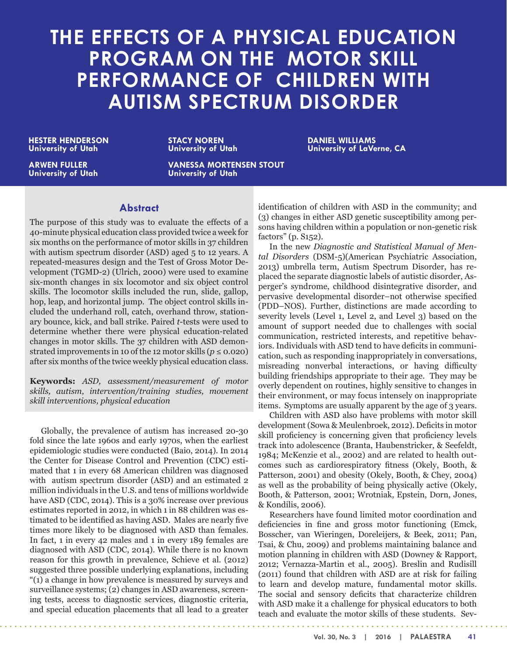# **THE EFFECTS OF A PHYSICAL EDUCATION PROGRAM ON THE MOTOR SKILL PERFORMANCE OF CHILDREN WITH AUTISM SPECTRUM DISORDER**

**HESTER HENDERSON University of Utah**

**ARWEN FULLER University of Utah** **STACY NOREN University of Utah** **DANIEL WILLIAMS University of LaVerne, CA**

**VANESSA MORTENSEN STOUT University of Utah**

# **Abstract**

The purpose of this study was to evaluate the effects of a 40-minute physical education class provided twice a week for six months on the performance of motor skills in 37 children with autism spectrum disorder (ASD) aged 5 to 12 years. A repeated-measures design and the Test of Gross Motor Development (TGMD-2) (Ulrich, 2000) were used to examine six-month changes in six locomotor and six object control skills. The locomotor skills included the run, slide, gallop, hop, leap, and horizontal jump. The object control skills included the underhand roll, catch, overhand throw, stationary bounce, kick, and ball strike. Paired *t*-tests were used to determine whether there were physical education-related changes in motor skills. The 37 children with ASD demonstrated improvements in 10 of the 12 motor skills ( $p \le 0.020$ ) after six months of the twice weekly physical education class.

**Keywords:** *ASD, assessment/measurement of motor skills, autism, intervention/training studies, movement skill interventions, physical education*

Globally, the prevalence of autism has increased 20-30 fold since the late 1960s and early 1970s, when the earliest epidemiologic studies were conducted (Baio, 2014). In 2014 the Center for Disease Control and Prevention (CDC) estimated that 1 in every 68 American children was diagnosed with autism spectrum disorder (ASD) and an estimated 2 million individuals in the U.S. and tens of millions worldwide have ASD (CDC, 2014). This is a 30% increase over previous estimates reported in 2012, in which 1 in 88 children was estimated to be identified as having ASD. Males are nearly five times more likely to be diagnosed with ASD than females. In fact, 1 in every 42 males and 1 in every 189 females are diagnosed with ASD (CDC, 2014). While there is no known reason for this growth in prevalence, Schieve et al. (2012) suggested three possible underlying explanations, including "(1) a change in how prevalence is measured by surveys and surveillance systems; (2) changes in ASD awareness, screening tests, access to diagnostic services, diagnostic criteria, and special education placements that all lead to a greater

<u>. . . . . . . . . . . .</u>

identification of children with ASD in the community; and (3) changes in either ASD genetic susceptibility among persons having children within a population or non-genetic risk factors" (p. S152).

In the new *Diagnostic and Statistical Manual of Mental Disorders* (DSM-5)(American Psychiatric Association, 2013) umbrella term, Autism Spectrum Disorder, has replaced the separate diagnostic labels of autistic disorder, Asperger's syndrome, childhood disintegrative disorder, and pervasive developmental disorder–not otherwise specified (PDD–NOS). Further, distinctions are made according to severity levels (Level 1, Level 2, and Level 3) based on the amount of support needed due to challenges with social communication, restricted interests, and repetitive behaviors. Individuals with ASD tend to have deficits in communication, such as responding inappropriately in conversations, misreading nonverbal interactions, or having difficulty building friendships appropriate to their age. They may be overly dependent on routines, highly sensitive to changes in their environment, or may focus intensely on inappropriate items. Symptoms are usually apparent by the age of 3 years.

Children with ASD also have problems with motor skill development (Sowa & Meulenbroek, 2012). Deficits in motor skill proficiency is concerning given that proficiency levels track into adolescence (Branta, Haubenstricker, & Seefeldt, 1984; McKenzie et al., 2002) and are related to health outcomes such as cardiorespiratory fitness (Okely, Booth, & Patterson, 2001) and obesity (Okely, Booth, & Chey, 2004) as well as the probability of being physically active (Okely, Booth, & Patterson, 2001; Wrotniak, Epstein, Dorn, Jones, & Kondilis, 2006).

Researchers have found limited motor coordination and deficiencies in fine and gross motor functioning (Emck, Bosscher, van Wieringen, Doreleijers, & Beek, 2011; Pan, Tsai, & Chu, 2009) and problems maintaining balance and motion planning in children with ASD (Downey & Rapport, 2012; Vernazza-Martin et al., 2005). Breslin and Rudisill (2011) found that children with ASD are at risk for failing to learn and develop mature, fundamental motor skills. The social and sensory deficits that characterize children with ASD make it a challenge for physical educators to both teach and evaluate the motor skills of these students. Sev-

. . . . . . . . . . . . . . . . . . . .

. . . . . . . . . . . .

**Vol. 30, No. 3 | 2016 | PALAESTRA 41**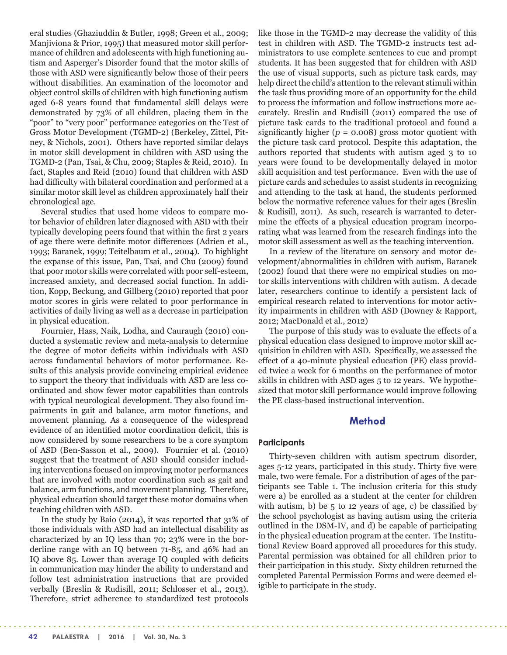eral studies (Ghaziuddin & Butler, 1998; Green et al., 2009; Manjiviona & Prior, 1995) that measured motor skill performance of children and adolescents with high functioning autism and Asperger's Disorder found that the motor skills of those with ASD were significantly below those of their peers without disabilities. An examination of the locomotor and object control skills of children with high functioning autism aged 6-8 years found that fundamental skill delays were demonstrated by 73% of all children, placing them in the "poor" to "very poor" performance categories on the Test of Gross Motor Development (TGMD-2) (Berkeley, Zittel, Pitney, & Nichols, 2001). Others have reported similar delays in motor skill development in children with ASD using the TGMD-2 (Pan, Tsai, & Chu, 2009; Staples & Reid, 2010). In fact, Staples and Reid (2010) found that children with ASD had difficulty with bilateral coordination and performed at a similar motor skill level as children approximately half their chronological age.

Several studies that used home videos to compare motor behavior of children later diagnosed with ASD with their typically developing peers found that within the first 2 years of age there were definite motor differences (Adrien et al., 1993; Baranek, 1999; Teitelbaum et al., 2004). To highlight the expanse of this issue, Pan, Tsai, and Chu (2009) found that poor motor skills were correlated with poor self-esteem, increased anxiety, and decreased social function. In addition, Kopp, Beckung, and Gillberg (2010) reported that poor motor scores in girls were related to poor performance in activities of daily living as well as a decrease in participation in physical education.

Fournier, Hass, Naik, Lodha, and Cauraugh (2010) conducted a systematic review and meta-analysis to determine the degree of motor deficits within individuals with ASD across fundamental behaviors of motor performance. Results of this analysis provide convincing empirical evidence to support the theory that individuals with ASD are less coordinated and show fewer motor capabilities than controls with typical neurological development. They also found impairments in gait and balance, arm motor functions, and movement planning. As a consequence of the widespread evidence of an identified motor coordination deficit, this is now considered by some researchers to be a core symptom of ASD (Ben-Sasson et al., 2009). Fournier et al. (2010) suggest that the treatment of ASD should consider including interventions focused on improving motor performances that are involved with motor coordination such as gait and balance, arm functions, and movement planning. Therefore, physical education should target these motor domains when teaching children with ASD.

In the study by Baio (2014), it was reported that 31% of those individuals with ASD had an intellectual disability as characterized by an IQ less than 70; 23% were in the borderline range with an IQ between 71-85, and 46% had an IQ above 85. Lower than average IQ coupled with deficits in communication may hinder the ability to understand and follow test administration instructions that are provided verbally (Breslin & Rudisill, 2011; Schlosser et al., 2013). Therefore, strict adherence to standardized test protocols like those in the TGMD-2 may decrease the validity of this test in children with ASD. The TGMD-2 instructs test administrators to use complete sentences to cue and prompt students. It has been suggested that for children with ASD the use of visual supports, such as picture task cards, may help direct the child's attention to the relevant stimuli within the task thus providing more of an opportunity for the child to process the information and follow instructions more accurately. Breslin and Rudisill (2011) compared the use of picture task cards to the traditional protocol and found a significantly higher  $(p = 0.008)$  gross motor quotient with the picture task card protocol. Despite this adaptation, the authors reported that students with autism aged 3 to 10 years were found to be developmentally delayed in motor skill acquisition and test performance. Even with the use of picture cards and schedules to assist students in recognizing and attending to the task at hand, the students performed below the normative reference values for their ages (Breslin & Rudisill, 2011). As such, research is warranted to determine the effects of a physical education program incorporating what was learned from the research findings into the motor skill assessment as well as the teaching intervention.

In a review of the literature on sensory and motor development/abnormalities in children with autism, Baranek (2002) found that there were no empirical studies on motor skills interventions with children with autism. A decade later, researchers continue to identify a persistent lack of empirical research related to interventions for motor activity impairments in children with ASD (Downey & Rapport, 2012; MacDonald et al., 2012)

The purpose of this study was to evaluate the effects of a physical education class designed to improve motor skill acquisition in children with ASD. Specifically, we assessed the effect of a 40-minute physical education (PE) class provided twice a week for 6 months on the performance of motor skills in children with ASD ages 5 to 12 years. We hypothesized that motor skill performance would improve following the PE class-based instructional intervention.

# **Method**

# **Participants**

Thirty-seven children with autism spectrum disorder, ages 5-12 years, participated in this study. Thirty five were male, two were female. For a distribution of ages of the participants see Table 1. The inclusion criteria for this study were a) be enrolled as a student at the center for children with autism, b) be  $5$  to 12 years of age, c) be classified by the school psychologist as having autism using the criteria outlined in the DSM-IV, and d) be capable of participating in the physical education program at the center. The Institutional Review Board approved all procedures for this study. Parental permission was obtained for all children prior to their participation in this study. Sixty children returned the completed Parental Permission Forms and were deemed eligible to participate in the study.

. . . . . . . . . . . . . . .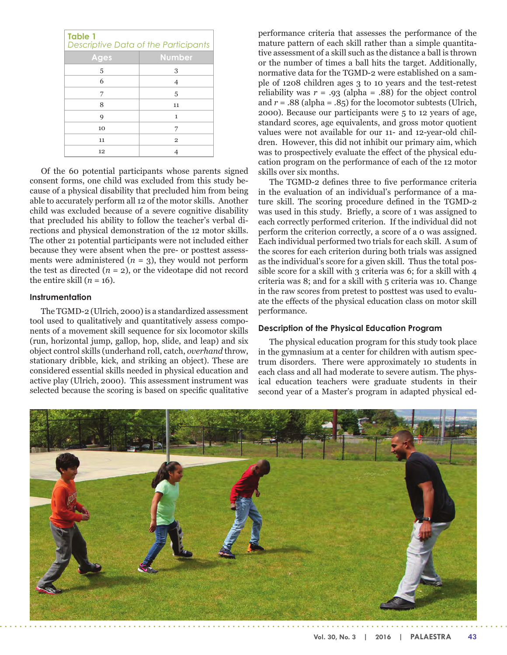| <b>Table 1</b><br>Descriptive Data of the Participants |                |  |  |  |
|--------------------------------------------------------|----------------|--|--|--|
| Ages                                                   | <b>Number</b>  |  |  |  |
| 5                                                      | 3              |  |  |  |
| 6                                                      | $\overline{4}$ |  |  |  |
| 7                                                      | 5              |  |  |  |
| 8                                                      | 11             |  |  |  |
| 9                                                      | $\mathbf{1}$   |  |  |  |
| 10                                                     | 7              |  |  |  |
| 11                                                     | $\overline{2}$ |  |  |  |
| 12                                                     |                |  |  |  |

Of the 60 potential participants whose parents signed consent forms, one child was excluded from this study because of a physical disability that precluded him from being able to accurately perform all 12 of the motor skills. Another child was excluded because of a severe cognitive disability that precluded his ability to follow the teacher's verbal directions and physical demonstration of the 12 motor skills. The other 21 potential participants were not included either because they were absent when the pre- or posttest assessments were administered  $(n = 3)$ , they would not perform the test as directed  $(n = 2)$ , or the videotape did not record the entire skill  $(n = 16)$ .

# **Instrumentation**

The TGMD-2 (Ulrich, 2000) is a standardized assessment tool used to qualitatively and quantitatively assess components of a movement skill sequence for six locomotor skills (run, horizontal jump, gallop, hop, slide, and leap) and six object control skills (underhand roll, catch, *overhand* throw, stationary dribble, kick, and striking an object). These are considered essential skills needed in physical education and active play (Ulrich, 2000). This assessment instrument was selected because the scoring is based on specific qualitative

performance criteria that assesses the performance of the mature pattern of each skill rather than a simple quantitative assessment of a skill such as the distance a ball is thrown or the number of times a ball hits the target. Additionally, normative data for the TGMD-2 were established on a sample of 1208 children ages 3 to 10 years and the test-retest reliability was  $r = .93$  (alpha = .88) for the object control and  $r = .88$  (alpha =  $.85$ ) for the locomotor subtests (Ulrich, 2000). Because our participants were 5 to 12 years of age, standard scores, age equivalents, and gross motor quotient values were not available for our 11- and 12-year-old children. However, this did not inhibit our primary aim, which was to prospectively evaluate the effect of the physical education program on the performance of each of the 12 motor skills over six months.

The TGMD-2 defines three to five performance criteria in the evaluation of an individual's performance of a mature skill. The scoring procedure defined in the TGMD-2 was used in this study. Briefly, a score of 1 was assigned to each correctly performed criterion. If the individual did not perform the criterion correctly, a score of a 0 was assigned. Each individual performed two trials for each skill. A sum of the scores for each criterion during both trials was assigned as the individual's score for a given skill. Thus the total possible score for a skill with 3 criteria was 6; for a skill with 4 criteria was 8; and for a skill with 5 criteria was 10. Change in the raw scores from pretest to posttest was used to evaluate the effects of the physical education class on motor skill performance.

### **Description of the Physical Education Program**

The physical education program for this study took place in the gymnasium at a center for children with autism spectrum disorders. There were approximately 10 students in each class and all had moderate to severe autism. The physical education teachers were graduate students in their second year of a Master's program in adapted physical ed-

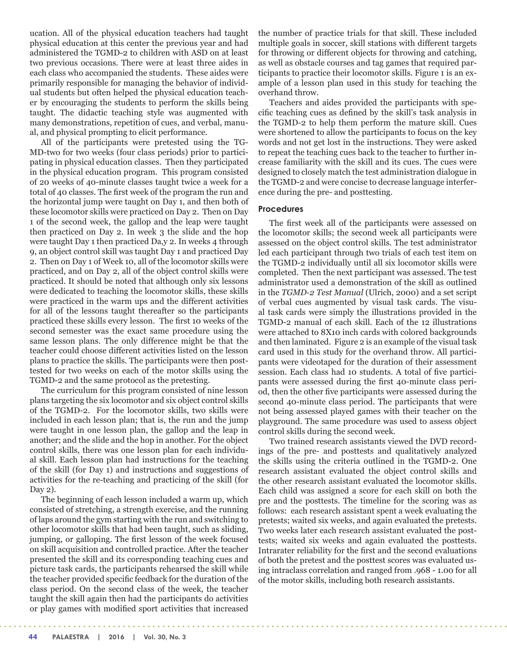ucation. All of the physical education teachers had taught physical education at this center the previous year and had administered the TGMD-2 to children with ASD on at least two previous occasions. There were at least three aides in each class who accompanied the students. These aides were primarily responsible for managing the behavior of individual students but often helped the physical education teacher by encouraging the students to perform the skills being taught. The didactic teaching style was augmented with many demonstrations, repetition of cues, and verbal, manual, and physical prompting to elicit performance.

All of the participants were pretested using the TG-MD-two for two weeks (four class periods) prior to participating in physical education classes. Then they participated in the physical education program. This program consisted of 20 weeks of 40-minute classes taught twice a week for a total of 40 classes. The first week of the program the run and the horizontal jump were taught on Day 1, and then both of these locomotor skills were practiced on Day 2. Then on Day 1 of the second week, the gallop and the leap were taught then practiced on Day 2. In week 3 the slide and the hop were taught Day 1 then practiced Da,y 2. In weeks 4 through 9, an object control skill was taught Day 1 and practiced Day 2. Then on Day 1 of Week 10, all of the locomotor skills were practiced, and on Day 2, all of the object control skills were practiced. It should be noted that although only six lessons were dedicated to teaching the locomotor skills, these skills were practiced in the warm ups and the different activities for all of the lessons taught thereafter so the participants practiced these skills every lesson. The first 10 weeks of the second semester was the exact same procedure using the same lesson plans. The only difference might be that the teacher could choose different activities listed on the lesson plans to practice the skills. The participants were then posttested for two weeks on each of the motor skills using the TGMD-2 and the same protocol as the pretesting.

The curriculum for this program consisted of nine lesson plans targeting the six locomotor and six object control skills of the TGMD-2. For the locomotor skills, two skills were included in each lesson plan; that is, the run and the jump were taught in one lesson plan, the gallop and the leap in another; and the slide and the hop in another. For the object control skills, there was one lesson plan for each individual skill. Each lesson plan had instructions for the teaching of the skill (for Day 1) and instructions and suggestions of activities for the re-teaching and practicing of the skill (for Day 2).

The beginning of each lesson included a warm up, which consisted of stretching, a strength exercise, and the running of laps around the gym starting with the run and switching to other locomotor skills that had been taught, such as sliding, jumping, or galloping. The first lesson of the week focused on skill acquisition and controlled practice. After the teacher presented the skill and its corresponding teaching cues and picture task cards, the participants rehearsed the skill while the teacher provided specific feedback for the duration of the class period. On the second class of the week, the teacher taught the skill again then had the participants do activities or play games with modified sport activities that increased the number of practice trials for that skill. These included multiple goals in soccer, skill stations with different targets for throwing or different objects for throwing and catching, as well as obstacle courses and tag games that required participants to practice their locomotor skills. Figure 1 is an example of a lesson plan used in this study for teaching the overhand throw.

Teachers and aides provided the participants with specific teaching cues as defined by the skill's task analysis in the TGMD-2 to help them perform the mature skill. Cues were shortened to allow the participants to focus on the key words and not get lost in the instructions. They were asked to repeat the teaching cues back to the teacher to further increase familiarity with the skill and its cues. The cues were designed to closely match the test administration dialogue in the TGMD-2 and were concise to decrease language interference during the pre- and posttesting.

# **Procedures**

The first week all of the participants were assessed on the locomotor skills; the second week all participants were assessed on the object control skills. The test administrator led each participant through two trials of each test item on the TGMD-2 individually until all six locomotor skills were completed. Then the next participant was assessed. The test administrator used a demonstration of the skill as outlined in the *TGMD-2 Test Manual* (Ulrich, 2000) and a set script of verbal cues augmented by visual task cards. The visual task cards were simply the illustrations provided in the TGMD-2 manual of each skill. Each of the 12 illustrations were attached to 8X10 inch cards with colored backgrounds and then laminated. Figure 2 is an example of the visual task card used in this study for the overhand throw. All participants were videotaped for the duration of their assessment session. Each class had 10 students. A total of five participants were assessed during the first 40-minute class period, then the other five participants were assessed during the second 40-minute class period. The participants that were not being assessed played games with their teacher on the playground. The same procedure was used to assess object control skills during the second week.

Two trained research assistants viewed the DVD recordings of the pre- and posttests and qualitatively analyzed the skills using the criteria outlined in the TGMD-2. One research assistant evaluated the object control skills and the other research assistant evaluated the locomotor skills. Each child was assigned a score for each skill on both the pre and the posttests. The timeline for the scoring was as follows: each research assistant spent a week evaluating the pretests; waited six weeks, and again evaluated the pretests. Two weeks later each research assistant evaluated the posttests; waited six weeks and again evaluated the posttests. Intrarater reliability for the first and the second evaluations of both the pretest and the posttest scores was evaluated using intraclass correlation and ranged from .968 - 1.00 for all of the motor skills, including both research assistants.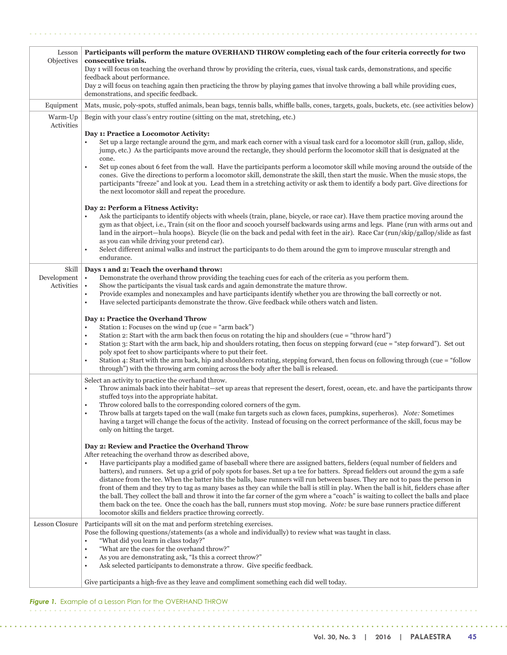| Lesson<br>Objectives      | Participants will perform the mature OVERHAND THROW completing each of the four criteria correctly for two<br>consecutive trials.<br>Day 1 will focus on teaching the overhand throw by providing the criteria, cues, visual task cards, demonstrations, and specific<br>feedback about performance.                                                                                                                                                                                                                                                                                                                                                                                                                                                                                                           |
|---------------------------|----------------------------------------------------------------------------------------------------------------------------------------------------------------------------------------------------------------------------------------------------------------------------------------------------------------------------------------------------------------------------------------------------------------------------------------------------------------------------------------------------------------------------------------------------------------------------------------------------------------------------------------------------------------------------------------------------------------------------------------------------------------------------------------------------------------|
|                           | Day 2 will focus on teaching again then practicing the throw by playing games that involve throwing a ball while providing cues,<br>demonstrations, and specific feedback.                                                                                                                                                                                                                                                                                                                                                                                                                                                                                                                                                                                                                                     |
| Equipment                 | Mats, music, poly-spots, stuffed animals, bean bags, tennis balls, whiffle balls, cones, targets, goals, buckets, etc. (see activities below)                                                                                                                                                                                                                                                                                                                                                                                                                                                                                                                                                                                                                                                                  |
| Warm-Up                   | Begin with your class's entry routine (sitting on the mat, stretching, etc.)                                                                                                                                                                                                                                                                                                                                                                                                                                                                                                                                                                                                                                                                                                                                   |
| Activities                | Day 1: Practice a Locomotor Activity:<br>Set up a large rectangle around the gym, and mark each corner with a visual task card for a locomotor skill (run, gallop, slide,<br>$\bullet$<br>jump, etc.) As the participants move around the rectangle, they should perform the locomotor skill that is designated at the<br>cone.<br>Set up cones about 6 feet from the wall. Have the participants perform a locomotor skill while moving around the outside of the<br>$\bullet$<br>cones. Give the directions to perform a locomotor skill, demonstrate the skill, then start the music. When the music stops, the<br>participants "freeze" and look at you. Lead them in a stretching activity or ask them to identify a body part. Give directions for<br>the next locomotor skill and repeat the procedure. |
|                           | Day 2: Perform a Fitness Activity:<br>Ask the participants to identify objects with wheels (train, plane, bicycle, or race car). Have them practice moving around the<br>$\bullet$<br>gym as that object, i.e., Train (sit on the floor and scooch yourself backwards using arms and legs. Plane (run with arms out and<br>land in the airport—hula hoops). Bicycle (lie on the back and pedal with feet in the air). Race Car (run/skip/gallop/slide as fast<br>as you can while driving your pretend car).<br>Select different animal walks and instruct the participants to do them around the gym to improve muscular strength and<br>$\bullet$<br>endurance.                                                                                                                                              |
| Skill                     | Days 1 and 2: Teach the overhand throw:                                                                                                                                                                                                                                                                                                                                                                                                                                                                                                                                                                                                                                                                                                                                                                        |
| Development<br>Activities | Demonstrate the overhand throw providing the teaching cues for each of the criteria as you perform them.<br>$\bullet$<br>Show the participants the visual task cards and again demonstrate the mature throw.<br>$\bullet$                                                                                                                                                                                                                                                                                                                                                                                                                                                                                                                                                                                      |
|                           | Provide examples and nonexamples and have participants identify whether you are throwing the ball correctly or not.<br>$\bullet$<br>Have selected participants demonstrate the throw. Give feedback while others watch and listen.<br>$\bullet$                                                                                                                                                                                                                                                                                                                                                                                                                                                                                                                                                                |
|                           | Day 1: Practice the Overhand Throw                                                                                                                                                                                                                                                                                                                                                                                                                                                                                                                                                                                                                                                                                                                                                                             |
|                           | Station 1: Focuses on the wind up (cue = "arm back")<br>$\bullet$<br>Station 2: Start with the arm back then focus on rotating the hip and shoulders (cue = "throw hard")<br>$\bullet$                                                                                                                                                                                                                                                                                                                                                                                                                                                                                                                                                                                                                         |
|                           | Station 3: Start with the arm back, hip and shoulders rotating, then focus on stepping forward (cue = "step forward"). Set out<br>$\bullet$                                                                                                                                                                                                                                                                                                                                                                                                                                                                                                                                                                                                                                                                    |
|                           | poly spot feet to show participants where to put their feet.<br>Station 4: Start with the arm back, hip and shoulders rotating, stepping forward, then focus on following through (cue = "follow<br>$\bullet$                                                                                                                                                                                                                                                                                                                                                                                                                                                                                                                                                                                                  |
|                           | through") with the throwing arm coming across the body after the ball is released.                                                                                                                                                                                                                                                                                                                                                                                                                                                                                                                                                                                                                                                                                                                             |
|                           | Select an activity to practice the overhand throw.<br>Throw animals back into their habitat-set up areas that represent the desert, forest, ocean, etc. and have the participants throw<br>$\bullet$<br>stuffed toys into the appropriate habitat.                                                                                                                                                                                                                                                                                                                                                                                                                                                                                                                                                             |
|                           | Throw colored balls to the corresponding colored corners of the gym.<br>$\bullet$<br>Throw balls at targets taped on the wall (make fun targets such as clown faces, pumpkins, superheros). Note: Sometimes                                                                                                                                                                                                                                                                                                                                                                                                                                                                                                                                                                                                    |
|                           | having a target will change the focus of the activity. Instead of focusing on the correct performance of the skill, focus may be<br>only on hitting the target.                                                                                                                                                                                                                                                                                                                                                                                                                                                                                                                                                                                                                                                |
|                           | Day 2: Review and Practice the Overhand Throw                                                                                                                                                                                                                                                                                                                                                                                                                                                                                                                                                                                                                                                                                                                                                                  |
|                           | After reteaching the overhand throw as described above,<br>Have participants play a modified game of baseball where there are assigned batters, fielders (equal number of fielders and<br>$\bullet$<br>batters), and runners. Set up a grid of poly spots for bases. Set up a tee for batters. Spread fielders out around the gym a safe                                                                                                                                                                                                                                                                                                                                                                                                                                                                       |
|                           | distance from the tee. When the batter hits the balls, base runners will run between bases. They are not to pass the person in                                                                                                                                                                                                                                                                                                                                                                                                                                                                                                                                                                                                                                                                                 |
|                           | front of them and they try to tag as many bases as they can while the ball is still in play. When the ball is hit, fielders chase after<br>the ball. They collect the ball and throw it into the far corner of the gym where a "coach" is waiting to collect the balls and place                                                                                                                                                                                                                                                                                                                                                                                                                                                                                                                               |
|                           | them back on the tee. Once the coach has the ball, runners must stop moving. Note: be sure base runners practice different<br>locomotor skills and fielders practice throwing correctly.                                                                                                                                                                                                                                                                                                                                                                                                                                                                                                                                                                                                                       |
| <b>Lesson Closure</b>     | Participants will sit on the mat and perform stretching exercises.                                                                                                                                                                                                                                                                                                                                                                                                                                                                                                                                                                                                                                                                                                                                             |
|                           | Pose the following questions/statements (as a whole and individually) to review what was taught in class.                                                                                                                                                                                                                                                                                                                                                                                                                                                                                                                                                                                                                                                                                                      |
|                           | "What did you learn in class today?"<br>$\bullet$<br>"What are the cues for the overhand throw?"<br>$\bullet$                                                                                                                                                                                                                                                                                                                                                                                                                                                                                                                                                                                                                                                                                                  |
|                           | As you are demonstrating ask, "Is this a correct throw?"<br>$\bullet$                                                                                                                                                                                                                                                                                                                                                                                                                                                                                                                                                                                                                                                                                                                                          |
|                           | Ask selected participants to demonstrate a throw. Give specific feedback.<br>$\bullet$                                                                                                                                                                                                                                                                                                                                                                                                                                                                                                                                                                                                                                                                                                                         |
|                           | Give participants a high-five as they leave and compliment something each did well today.                                                                                                                                                                                                                                                                                                                                                                                                                                                                                                                                                                                                                                                                                                                      |

**Figure 1.** Example of a Lesson Plan for the OVERHAND THROW 

 $\mathbf{A}$ 

*Charles*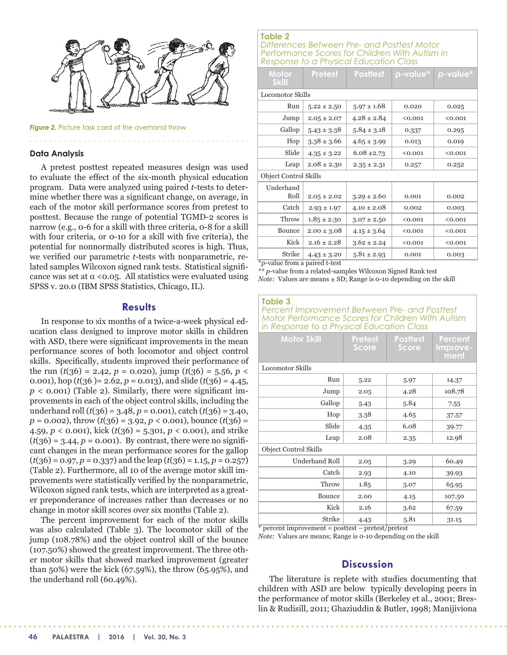

**Figure 2.** Picture task card of the overhand throw

#### **Data Analysis**

A pretest posttest repeated measures design was used to evaluate the effect of the six-month physical education program. Data were analyzed using paired *t*-tests to determine whether there was a significant change, on average, in each of the motor skill performance scores from pretest to posttest. Because the range of potential TGMD-2 scores is narrow (e.g., 0-6 for a skill with three criteria, 0-8 for a skill with four criteria, or 0-10 for a skill with five criteria), the potential for nonnormally distributed scores is high. Thus, we verified our parametric *t*-tests with nonparametric, related samples Wilcoxon signed rank tests. Statistical significance was set at  $\alpha$  <0.05. All statistics were evaluated using SPSS v. 20.0 (IBM SPSS Statistics, Chicago, IL).

# **Results**

In response to six months of a twice-a-week physical education class designed to improve motor skills in children with ASD, there were significant improvements in the mean performance scores of both locomotor and object control skills. Specifically, students improved their performance of the run  $(t(36) = 2.42, p = 0.020)$ , jump  $(t(36) = 5.56, p <$ 0.001), hop ( $t(36)$  = 2.62,  $p$  = 0.013), and slide ( $t(36)$  = 4.45,  $p$  < 0.001) (Table 2). Similarly, there were significant improvements in each of the object control skills, including the underhand roll  $(t(36) = 3.48, p = 0.001)$ , catch  $(t(36) = 3.40,$  $p = 0.002$ , throw  $(t(36) = 3.92, p < 0.001)$ , bounce  $(t(36) =$ 4.59, *p* < 0.001), kick (*t*(36) = 5.301, *p* < 0.001), and strike  $(t(36) = 3.44, p = 0.001)$ . By contrast, there were no significant changes in the mean performance scores for the gallop  $(t(36) = 0.97, p = 0.337)$  and the leap  $(t(36) = 1.15, p = 0.257)$ (Table 2). Furthermore, all 10 of the average motor skill improvements were statistically verified by the nonparametric, Wilcoxon signed rank tests, which are interpreted as a greater preponderance of increases rather than decreases or no change in motor skill scores over six months (Table 2).

The percent improvement for each of the motor skills was also calculated (Table 3). The locomotor skill of the jump (108.78%) and the object control skill of the bounce (107.50%) showed the greatest improvement. The three other motor skills that showed marked improvement (greater than 50%) were the kick (67.59%), the throw (65.95%), and the underhand roll (60.49%).

# **Table 2**

*Differences Between Pre- and Posttest Motor Performance Scores for Children With Autism in Response to a Physical Education Class*

| Motor<br><b>Skill</b>                 | <b>Pretest</b>  | <b>Posttest</b> | p-value* | p-value* |  |  |  |
|---------------------------------------|-----------------|-----------------|----------|----------|--|--|--|
| <b>Locomotor Skills</b>               |                 |                 |          |          |  |  |  |
| Run                                   | $5.22 \pm 2.50$ | $5.97 \pm 1.68$ | 0.020    | 0.025    |  |  |  |
| Jump                                  | $2.05 \pm 2.07$ | $4.28 \pm 2.84$ | < 0.001  | < 0.001  |  |  |  |
| Gallop                                | $5.43 \pm 3.38$ | $5.84 \pm 3.18$ | 0.337    | 0.295    |  |  |  |
| Hop                                   | $3.38 \pm 3.66$ | $4.65 \pm 3.99$ | 0.013    | 0.019    |  |  |  |
| Slide                                 | $4.35 \pm 3.22$ | $6.08 \pm 2.73$ | < 0.001  | < 0.001  |  |  |  |
| Leap                                  | $2.08 \pm 2.30$ | $2.35 \pm 2.31$ | 0.257    | 0.252    |  |  |  |
| <b>Object Control Skills</b>          |                 |                 |          |          |  |  |  |
| Underhand<br>Roll                     | $2.05 \pm 2.02$ | $3.29 \pm 2.60$ | 0.001    | 0.002    |  |  |  |
| Catch                                 | $2.93 \pm 1.97$ | $4.10 \pm 2.08$ | 0.002    | 0.003    |  |  |  |
| Throw                                 | $1.85 \pm 2.30$ | $3.07 \pm 2.50$ | < 0.001  | < 0.001  |  |  |  |
| Bounce                                | $2.00 \pm 3.08$ | $4.15 \pm 3.64$ | < 0.001  | < 0.001  |  |  |  |
| Kick                                  | $2.16 \pm 2.28$ | $3.62 \pm 2.24$ | < 0.001  | < 0.001  |  |  |  |
| <b>Strike</b>                         | $4.43 \pm 3.20$ | $5.81 \pm 2.93$ | 0.001    | 0.003    |  |  |  |
| <i>*p</i> -value from a paired t-test |                 |                 |          |          |  |  |  |

\*\* *p*-value from a related-samples Wilcoxon Signed Rank test *Note:* Values are means ± SD; Range is 0-10 depending on the skill

**Table 3**  *Percent Improvement Between Pre- and Posttest Motor Performance Scores for Children With Autism in Response to a Physical Education Class* 

| <b>Motor Skill</b>           | <b>Pretest</b><br>Score | <b>Posttest</b><br><b>Score</b> | Percent<br>Improve-<br>ment |  |  |  |
|------------------------------|-------------------------|---------------------------------|-----------------------------|--|--|--|
| <b>Locomotor Skills</b>      |                         |                                 |                             |  |  |  |
| Run                          | 5.22                    | 5.97                            | 14.37                       |  |  |  |
| Jump                         | 2.05                    | 4.28                            | 108.78                      |  |  |  |
| Gallop                       | 5.43                    | 5.84                            | 7.55                        |  |  |  |
| Hop                          | 3.38                    | 4.65                            | 37.57                       |  |  |  |
| Slide                        | 4.35                    | 6.08                            | 39.77                       |  |  |  |
| Leap                         | 2.08                    | 2.35                            | 12.98                       |  |  |  |
| <b>Object Control Skills</b> |                         |                                 |                             |  |  |  |
| <b>Underhand Roll</b>        | 2.05                    | 3.29                            | 60.49                       |  |  |  |
| Catch                        | 2.93                    | 4.10                            | 39.93                       |  |  |  |
| Throw                        | 1.85                    | 3.07                            | 65.95                       |  |  |  |
| <b>Bounce</b>                | 2.00                    | 4.15                            | 107.50                      |  |  |  |
| Kick                         | 2.16                    | 3.62                            | 67.59                       |  |  |  |
| <b>Strike</b>                | 4.43                    | 5.81                            | 31.15                       |  |  |  |

\* percent improvement = posttest – pretest/pretest

*Note:* Values are means; Range is 0-10 depending on the skill

# **Discussion**

The literature is replete with studies documenting that children with ASD are below typically developing peers in the performance of motor skills (Berkeley et al., 2001; Breslin & Rudisill, 2011; Ghaziuddin & Butler, 1998; Manijiviona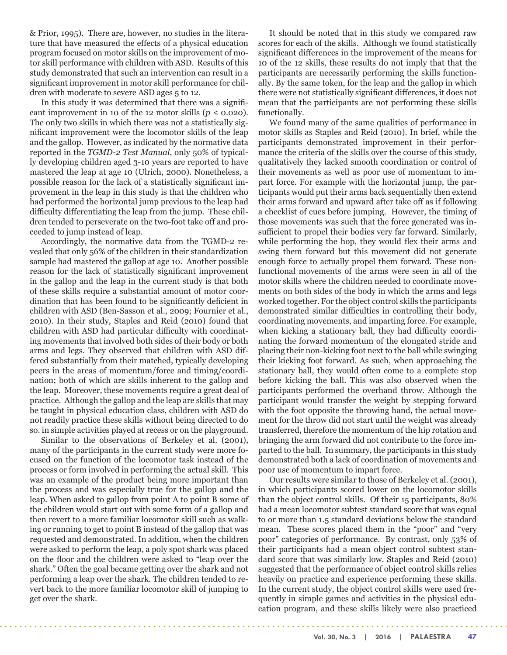& Prior, 1995). There are, however, no studies in the literature that have measured the effects of a physical education program focused on motor skills on the improvement of motor skill performance with children with ASD. Results of this study demonstrated that such an intervention can result in a significant improvement in motor skill performance for children with moderate to severe ASD ages 5 to 12.

In this study it was determined that there was a significant improvement in 10 of the 12 motor skills ( $p \le 0.020$ ). The only two skills in which there was not a statistically significant improvement were the locomotor skills of the leap and the gallop. However, as indicated by the normative data reported in the *TGMD-2 Test Manual*, only 50% of typically developing children aged 3-10 years are reported to have mastered the leap at age 10 (Ulrich, 2000). Nonetheless, a possible reason for the lack of a statistically significant improvement in the leap in this study is that the children who had performed the horizontal jump previous to the leap had difficulty differentiating the leap from the jump. These children tended to perseverate on the two-foot take off and proceeded to jump instead of leap.

Accordingly, the normative data from the TGMD-2 revealed that only 56% of the children in their standardization sample had mastered the gallop at age 10. Another possible reason for the lack of statistically significant improvement in the gallop and the leap in the current study is that both of these skills require a substantial amount of motor coordination that has been found to be significantly deficient in children with ASD (Ben-Sasson et al., 2009; Fournier et al., 2010). In their study, Staples and Reid (2010) found that children with ASD had particular difficulty with coordinating movements that involved both sides of their body or both arms and legs. They observed that children with ASD differed substantially from their matched, typically developing peers in the areas of momentum/force and timing/coordination; both of which are skills inherent to the gallop and the leap. Moreover, these movements require a great deal of practice. Although the gallop and the leap are skills that may be taught in physical education class, children with ASD do not readily practice these skills without being directed to do so. in simple activities played at recess or on the playground.

Similar to the observations of Berkeley et al. (2001), many of the participants in the current study were more focused on the function of the locomotor task instead of the process or form involved in performing the actual skill. This was an example of the product being more important than the process and was especially true for the gallop and the leap. When asked to gallop from point A to point B some of the children would start out with some form of a gallop and then revert to a more familiar locomotor skill such as walking or running to get to point B instead of the gallop that was requested and demonstrated. In addition, when the children were asked to perform the leap, a poly spot shark was placed on the floor and the children were asked to "leap over the shark." Often the goal became getting over the shark and not performing a leap over the shark. The children tended to revert back to the more familiar locomotor skill of jumping to get over the shark.

. . . . . . . . . .

It should be noted that in this study we compared raw scores for each of the skills. Although we found statistically significant differences in the improvement of the means for 10 of the 12 skills, these results do not imply that that the participants are necessarily performing the skills functionally. By the same token, for the leap and the gallop in which there were not statistically significant differences, it does not mean that the participants are not performing these skills functionally.

We found many of the same qualities of performance in motor skills as Staples and Reid (2010). In brief, while the participants demonstrated improvement in their performance the criteria of the skills over the course of this study, qualitatively they lacked smooth coordination or control of their movements as well as poor use of momentum to impart force. For example with the horizontal jump, the participants would put their arms back sequentially then extend their arms forward and upward after take off as if following a checklist of cues before jumping. However, the timing of those movements was such that the force generated was insufficient to propel their bodies very far forward. Similarly, while performing the hop, they would flex their arms and swing them forward but this movement did not generate enough force to actually propel them forward. These nonfunctional movements of the arms were seen in all of the motor skills where the children needed to coordinate movements on both sides of the body in which the arms and legs worked together. For the object control skills the participants demonstrated similar difficulties in controlling their body, coordinating movements, and imparting force. For example, when kicking a stationary ball, they had difficulty coordinating the forward momentum of the elongated stride and placing their non-kicking foot next to the ball while swinging their kicking foot forward. As such, when approaching the stationary ball, they would often come to a complete stop before kicking the ball. This was also observed when the participants performed the overhand throw. Although the participant would transfer the weight by stepping forward with the foot opposite the throwing hand, the actual movement for the throw did not start until the weight was already transferred, therefore the momentum of the hip rotation and bringing the arm forward did not contribute to the force imparted to the ball. In summary, the participants in this study demonstrated both a lack of coordination of movements and poor use of momentum to impart force.

Our results were similar to those of Berkeley et al. (2001), in which participants scored lower on the locomotor skills than the object control skills. Of their 15 participants, 80% had a mean locomotor subtest standard score that was equal to or more than 1.5 standard deviations below the standard mean. These scores placed them in the "poor" and "very poor" categories of performance. By contrast, only 53% of their participants had a mean object control subtest standard score that was similarly low. Staples and Reid (2010) suggested that the performance of object control skills relies heavily on practice and experience performing these skills. In the current study, the object control skills were used frequently in simple games and activities in the physical education program, and these skills likely were also practiced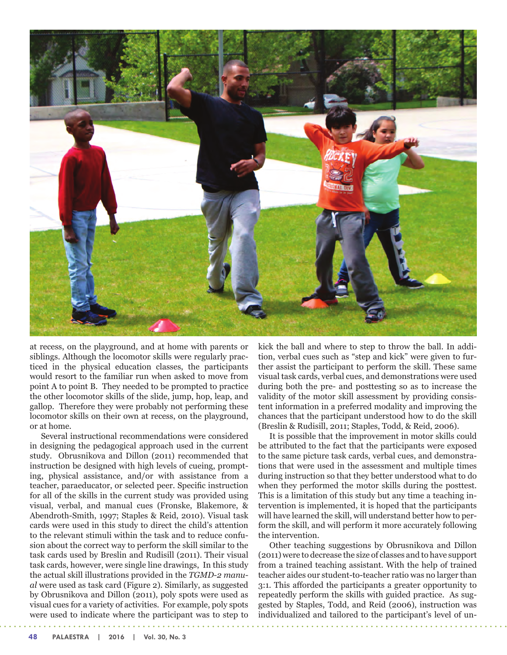

at recess, on the playground, and at home with parents or siblings. Although the locomotor skills were regularly practiced in the physical education classes, the participants would resort to the familiar run when asked to move from point A to point B. They needed to be prompted to practice the other locomotor skills of the slide, jump, hop, leap, and gallop. Therefore they were probably not performing these locomotor skills on their own at recess, on the playground, or at home.

Several instructional recommendations were considered in designing the pedagogical approach used in the current study. Obrusnikova and Dillon (2011) recommended that instruction be designed with high levels of cueing, prompting, physical assistance, and/or with assistance from a teacher, paraeducator, or selected peer. Specific instruction for all of the skills in the current study was provided using visual, verbal, and manual cues (Fronske, Blakemore, & Abendroth-Smith, 1997; Staples & Reid, 2010). Visual task cards were used in this study to direct the child's attention to the relevant stimuli within the task and to reduce confusion about the correct way to perform the skill similar to the task cards used by Breslin and Rudisill (2011). Their visual task cards, however, were single line drawings, In this study the actual skill illustrations provided in the *TGMD-2 manual* were used as task card (Figure 2). Similarly, as suggested by Obrusnikova and Dillon (2011), poly spots were used as visual cues for a variety of activities. For example, poly spots were used to indicate where the participant was to step to kick the ball and where to step to throw the ball. In addition, verbal cues such as "step and kick" were given to further assist the participant to perform the skill. These same visual task cards, verbal cues, and demonstrations were used during both the pre- and posttesting so as to increase the validity of the motor skill assessment by providing consistent information in a preferred modality and improving the chances that the participant understood how to do the skill (Breslin & Rudisill, 2011; Staples, Todd, & Reid, 2006).

It is possible that the improvement in motor skills could be attributed to the fact that the participants were exposed to the same picture task cards, verbal cues, and demonstrations that were used in the assessment and multiple times during instruction so that they better understood what to do when they performed the motor skills during the posttest. This is a limitation of this study but any time a teaching intervention is implemented, it is hoped that the participants will have learned the skill, will understand better how to perform the skill, and will perform it more accurately following the intervention.

Other teaching suggestions by Obrusnikova and Dillon (2011) were to decrease the size of classes and to have support from a trained teaching assistant. With the help of trained teacher aides our student-to-teacher ratio was no larger than 3:1. This afforded the participants a greater opportunity to repeatedly perform the skills with guided practice. As suggested by Staples, Todd, and Reid (2006), instruction was individualized and tailored to the participant's level of un-

**48 PALAESTRA | 2016 | Vol. 30, No. 3**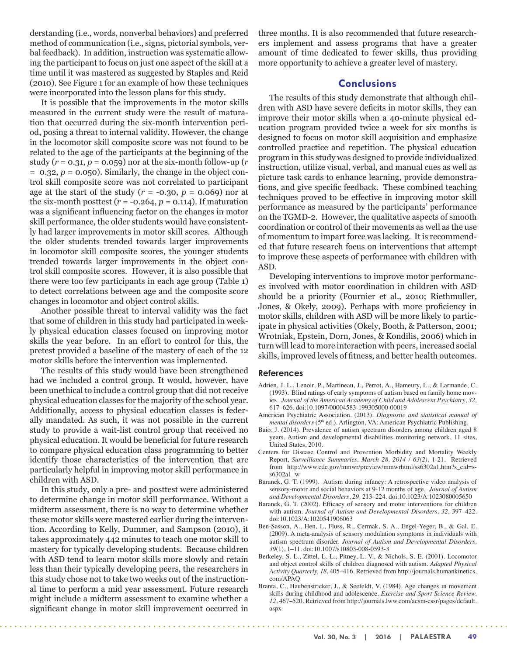derstanding (i.e., words, nonverbal behaviors) and preferred method of communication (i.e., signs, pictorial symbols, verbal feedback). In addition, instruction was systematic allowing the participant to focus on just one aspect of the skill at a time until it was mastered as suggested by Staples and Reid (2010). See Figure 1 for an example of how these techniques were incorporated into the lesson plans for this study.

It is possible that the improvements in the motor skills measured in the current study were the result of maturation that occurred during the six-month intervention period, posing a threat to internal validity. However, the change in the locomotor skill composite score was not found to be related to the age of the participants at the beginning of the study  $(r = 0.31, p = 0.059)$  nor at the six-month follow-up  $(r = 0.31, p = 0.059)$  $= 0.32, p = 0.050$ . Similarly, the change in the object control skill composite score was not correlated to participant age at the start of the study  $(r = -0.30, p = 0.069)$  nor at the six-month posttest  $(r = -0.264, p = 0.114)$ . If maturation was a significant influencing factor on the changes in motor skill performance, the older students would have consistently had larger improvements in motor skill scores. Although the older students trended towards larger improvements in locomotor skill composite scores, the younger students trended towards larger improvements in the object control skill composite scores. However, it is also possible that there were too few participants in each age group (Table 1) to detect correlations between age and the composite score changes in locomotor and object control skills.

Another possible threat to interval validity was the fact that some of children in this study had participated in weekly physical education classes focused on improving motor skills the year before. In an effort to control for this, the pretest provided a baseline of the mastery of each of the 12 motor skills before the intervention was implemented.

The results of this study would have been strengthened had we included a control group. It would, however, have been unethical to include a control group that did not receive physical education classes for the majority of the school year. Additionally, access to physical education classes is federally mandated. As such, it was not possible in the current study to provide a wait-list control group that received no physical education. It would be beneficial for future research to compare physical education class programming to better identify those characteristics of the intervention that are particularly helpful in improving motor skill performance in children with ASD.

In this study, only a pre- and posttest were administered to determine change in motor skill performance. Without a midterm assessment, there is no way to determine whether these motor skills were mastered earlier during the intervention. According to Kelly, Dummer, and Sampson (2010), it takes approximately 442 minutes to teach one motor skill to mastery for typically developing students. Because children with ASD tend to learn motor skills more slowly and retain less than their typically developing peers, the researchers in this study chose not to take two weeks out of the instructional time to perform a mid year assessment. Future research might include a midterm assessment to examine whether a significant change in motor skill improvement occurred in

three months. It is also recommended that future researchers implement and assess programs that have a greater amount of time dedicated to fewer skills, thus providing more opportunity to achieve a greater level of mastery.

# **Conclusions**

The results of this study demonstrate that although children with ASD have severe deficits in motor skills, they can improve their motor skills when a 40-minute physical education program provided twice a week for six months is designed to focus on motor skill acquisition and emphasize controlled practice and repetition. The physical education program in this study was designed to provide individualized instruction, utilize visual, verbal, and manual cues as well as picture task cards to enhance learning, provide demonstrations, and give specific feedback. These combined teaching techniques proved to be effective in improving motor skill performance as measured by the participants' performance on the TGMD-2. However, the qualitative aspects of smooth coordination or control of their movements as well as the use of momentum to impart force was lacking. It is recommended that future research focus on interventions that attempt to improve these aspects of performance with children with ASD.

Developing interventions to improve motor performances involved with motor coordination in children with ASD should be a priority (Fournier et al., 2010; Riethmuller, Jones, & Okely, 2009). Perhaps with more proficiency in motor skills, children with ASD will be more likely to participate in physical activities (Okely, Booth, & Patterson, 2001; Wrotniak, Epstein, Dorn, Jones, & Kondilis, 2006) which in turn will lead to more interaction with peers, increased social skills, improved levels of fitness, and better health outcomes.

#### **References**

 $\sim$ 

- Adrien, J. L., Lenoir, P., Martineau, J., Perrot, A., Hameury, L., & Larmande, C. (1993). Blind ratings of early symptoms of autism based on family home movies. *Journal of the American Academy of Child and Adolescent Psychiatry*, *32,* 617–626. doi:10.1097/00004583-199305000-00019
- American Psychiatric Association. (2013). *Diagnostic and statistical manual of mental disorders* (5th ed.). Arlington, VA: American Psychiatric Publishing.
- Baio, J. (2014). Prevalence of autism spectrum disorders among children aged 8 years. Autism and developmental disabilities monitoring network, 11 sites, United States, 2010.
- Centers for Disease Control and Prevention Morbidity and Mortality Weekly Report, *Surveillance Summaries, March 28, 2014 / 63(2),* 1-21. Retrieved from http://www.cdc.gov/mmwr/preview/mmwrhtml/ss6302a1.htm?s\_cid=ss6302a1\_w
- Baranek, G. T. (1999). Autism during infancy: A retrospective video analysis of sensory-motor and social behaviors at 9-12 months of age. *Journal of Autism and Developmental Disorders*, *29,* 213–224. doi:10.1023/A:1023080005650
- Baranek, G. T. (2002). Efficacy of sensory and motor interventions for children with autism. *Journal of Autism and Developmental Disorders, 32,* 397–422. doi:10.1023/A:1020541906063
- Ben-Sasson, A., Hen, L, Fluss, R., Cermak, S. A., Engel-Yeger, B., & Gal, E. (2009). A meta-analysis of sensory modulation symptoms in individuals with autism spectrum disorder. *Journal of Autism and Developmental Disorders, 39*(1), 1–11*.* doi:10.1007/s10803-008-0593-3
- Berkeley, S. L., Zittel, L. L., Pitney, L. V., & Nichols, S. E. (2001). Locomotor and object control skills of children diagnosed with autism. *Adapted Physical Activity Quarterly, 18*, 405–416. Retrieved from http://journals.humankinetics. com/APAQ
- Branta, C., Haubenstricker, J., & Seefeldt, V. (1984). Age changes in movement skills during childhood and adolescence. *Exercise and Sport Science Review, 12*, 467–520. Retrieved from http://journals.lww.com/acsm-essr/pages/default. aspx